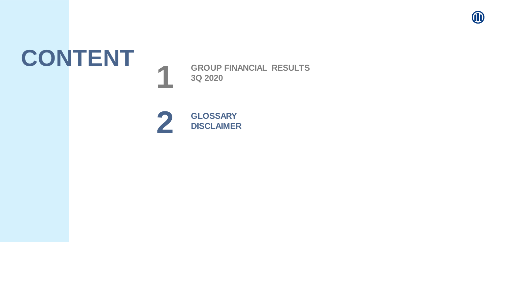

# **CONTENT <sup>1</sup>**

**GROUP FINANCIAL RESULTS 3Q 2020**

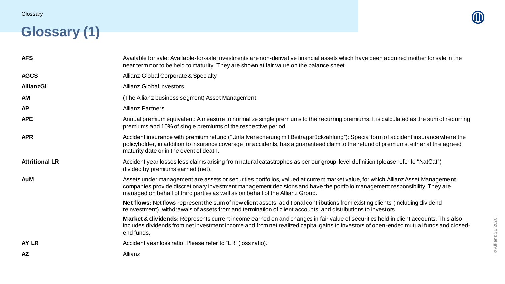## **Glossary (1)**

© Allianz SE 2020

© Allianz SE 2020

| <b>AFS</b>            | Available for sale: Available-for-sale investments are non-derivative financial assets which have been acquired neither for sale in the<br>near term nor to be held to maturity. They are shown at fair value on the balance sheet.                                                                                                            |
|-----------------------|------------------------------------------------------------------------------------------------------------------------------------------------------------------------------------------------------------------------------------------------------------------------------------------------------------------------------------------------|
| <b>AGCS</b>           | Allianz Global Corporate & Specialty                                                                                                                                                                                                                                                                                                           |
| <b>AllianzGI</b>      | <b>Allianz Global Investors</b>                                                                                                                                                                                                                                                                                                                |
| <b>AM</b>             | (The Allianz business segment) Asset Management                                                                                                                                                                                                                                                                                                |
| <b>AP</b>             | <b>Allianz Partners</b>                                                                                                                                                                                                                                                                                                                        |
| <b>APE</b>            | Annual premium equivalent: A measure to normalize single premiums to the recurring premiums. It is calculated as the sum of recurring<br>premiums and 10% of single premiums of the respective period.                                                                                                                                         |
| <b>APR</b>            | Accident insurance with premium refund ("Unfallversicherung mit Beitragsrückzahlung"): Special form of accident insurance where the<br>policyholder, in addition to insurance coverage for accidents, has a guaranteed claim to the refund of premiums, either at the agreed<br>maturity date or in the event of death.                        |
| <b>Attritional LR</b> | Accident year losses less claims arising from natural catastrophes as per our group-level definition (please refer to "NatCat")<br>divided by premiums earned (net).                                                                                                                                                                           |
| <b>AuM</b>            | Assets under management are assets or securities portfolios, valued at current market value, for which Allianz Asset Management<br>companies provide discretionary investment management decisions and have the portfolio management responsibility. They are<br>managed on behalf of third parties as well as on behalf of the Allianz Group. |
|                       | Net flows: Net flows represent the sum of new client assets, additional contributions from existing clients (including dividend<br>reinvestment), withdrawals of assets from and termination of client accounts, and distributions to investors.                                                                                               |
|                       | Market & dividends: Represents current income earned on and changes in fair value of securities held in client accounts. This also<br>includes dividends from net investment income and from net realized capital gains to investors of open-ended mutual funds and closed-<br>end funds.                                                      |
| AY LR                 | Accident year loss ratio: Please refer to "LR" (loss ratio).                                                                                                                                                                                                                                                                                   |
| <b>AZ</b>             | Allianz                                                                                                                                                                                                                                                                                                                                        |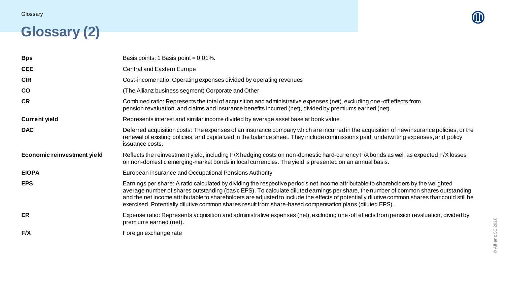

#### **Glossary (2)**

| <b>Bps</b>                         | Basis points: 1 Basis point = 0.01%.                                                                                                                                                                                                                                                                                                                                                                                                                                                                                                 |
|------------------------------------|--------------------------------------------------------------------------------------------------------------------------------------------------------------------------------------------------------------------------------------------------------------------------------------------------------------------------------------------------------------------------------------------------------------------------------------------------------------------------------------------------------------------------------------|
| <b>CEE</b>                         | <b>Central and Eastern Europe</b>                                                                                                                                                                                                                                                                                                                                                                                                                                                                                                    |
| <b>CIR</b>                         | Cost-income ratio: Operating expenses divided by operating revenues                                                                                                                                                                                                                                                                                                                                                                                                                                                                  |
| <b>CO</b>                          | (The Allianz business segment) Corporate and Other                                                                                                                                                                                                                                                                                                                                                                                                                                                                                   |
| <b>CR</b>                          | Combined ratio: Represents the total of acquisition and administrative expenses (net), excluding one-off effects from<br>pension revaluation, and claims and insurance benefits incurred (net), divided by premiums earned (net).                                                                                                                                                                                                                                                                                                    |
| <b>Current yield</b>               | Represents interest and similar income divided by average asset base at book value.                                                                                                                                                                                                                                                                                                                                                                                                                                                  |
| <b>DAC</b>                         | Deferred acquisition costs: The expenses of an insurance company which are incurred in the acquisition of new insurance policies, or the<br>renewal of existing policies, and capitalized in the balance sheet. They include commissions paid, underwriting expenses, and policy<br>issuance costs.                                                                                                                                                                                                                                  |
| <b>Economic reinvestment yield</b> | Reflects the reinvestment yield, including F/X hedging costs on non-domestic hard-currency F/X bonds as well as expected F/X losses<br>on non-domestic emerging-market bonds in local currencies. The yield is presented on an annual basis.                                                                                                                                                                                                                                                                                         |
| <b>EIOPA</b>                       | European Insurance and Occupational Pensions Authority                                                                                                                                                                                                                                                                                                                                                                                                                                                                               |
| <b>EPS</b>                         | Earnings per share: A ratio calculated by dividing the respective period's net income attributable to shareholders by the weighted<br>average number of shares outstanding (basic EPS). To calculate diluted earnings per share, the number of common shares outstanding<br>and the net income attributable to shareholders are adjusted to include the effects of potentially dilutive common shares that could still be<br>exercised. Potentially dilutive common shares result from share-based compensation plans (diluted EPS). |
| <b>ER</b>                          | Expense ratio: Represents acquisition and administrative expenses (net), excluding one-off effects from pension revaluation, divided by<br>premiums earned (net).                                                                                                                                                                                                                                                                                                                                                                    |
| F/X                                | Foreign exchange rate                                                                                                                                                                                                                                                                                                                                                                                                                                                                                                                |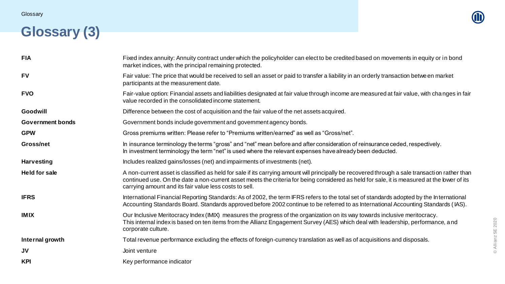#### **Glossary (3)**



© Allianz SE 2020

© Allianz SE 2020

| <b>FIA</b>              | Fixed index annuity: Annuity contract under which the policyholder can elect to be credited based on movements in equity or in bond<br>market indices, with the principal remaining protected.                                                                                                                                                          |
|-------------------------|---------------------------------------------------------------------------------------------------------------------------------------------------------------------------------------------------------------------------------------------------------------------------------------------------------------------------------------------------------|
| <b>FV</b>               | Fair value: The price that would be received to sell an asset or paid to transfer a liability in an orderly transaction betwe en market<br>participants at the measurement date.                                                                                                                                                                        |
| <b>FVO</b>              | Fair-value option: Financial assets and liabilities designated at fair value through income are measured at fair value, with changes in fair<br>value recorded in the consolidated income statement.                                                                                                                                                    |
| Goodwill                | Difference between the cost of acquisition and the fair value of the net assets acquired.                                                                                                                                                                                                                                                               |
| <b>Government bonds</b> | Government bonds include government and government agency bonds.                                                                                                                                                                                                                                                                                        |
| <b>GPW</b>              | Gross premiums written: Please refer to "Premiums written/earned" as well as "Gross/net".                                                                                                                                                                                                                                                               |
| Gross/net               | In insurance terminology the terms "gross" and "net" mean before and after consideration of reinsurance ceded, respectively.<br>In investment terminology the term "net" is used where the relevant expenses have already been deducted.                                                                                                                |
| <b>Harvesting</b>       | Includes realized gains/losses (net) and impairments of investments (net).                                                                                                                                                                                                                                                                              |
| <b>Held for sale</b>    | A non-current asset is classified as held for sale if its carrying amount will principally be recovered through a sale transaction rather than<br>continued use. On the date a non-current asset meets the criteria for being considered as held for sale, it is measured at the lower of its<br>carrying amount and its fair value less costs to sell. |
| <b>IFRS</b>             | International Financial Reporting Standards: As of 2002, the term IFRS refers to the total set of standards adopted by the International<br>Accounting Standards Board. Standards approved before 2002 continue to be referred to as International Accounting Standards (IAS).                                                                          |
| <b>IMIX</b>             | Our Inclusive Meritocracy Index (IMIX) measures the progress of the organization on its way towards inclusive meritocracy.<br>This internal index is based on ten items from the Allianz Engagement Survey (AES) which deal with leadership, performance, and<br>corporate culture.                                                                     |
| Internal growth         | Total revenue performance excluding the effects of foreign-currency translation as well as of acquisitions and disposals.                                                                                                                                                                                                                               |
| <b>JV</b>               | Joint venture                                                                                                                                                                                                                                                                                                                                           |
| <b>KPI</b>              | Key performance indicator                                                                                                                                                                                                                                                                                                                               |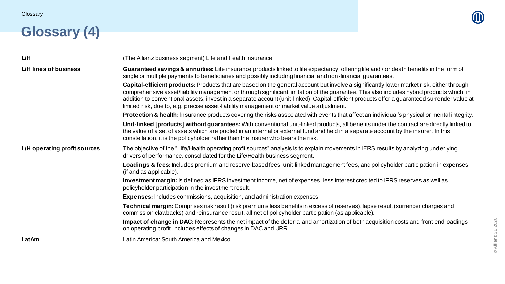## **Glossary (4)**



| <b>L/H</b>                   | (The Allianz business segment) Life and Health insurance                                                                                                                                                                                                                                                                                                                                                                                                                                                                            |
|------------------------------|-------------------------------------------------------------------------------------------------------------------------------------------------------------------------------------------------------------------------------------------------------------------------------------------------------------------------------------------------------------------------------------------------------------------------------------------------------------------------------------------------------------------------------------|
| L/H lines of business        | Guaranteed savings & annuities: Life insurance products linked to life expectancy, offering life and / or death benefits in the form of<br>single or multiple payments to beneficiaries and possibly including financial and non-financial guarantees.                                                                                                                                                                                                                                                                              |
|                              | Capital-efficient products: Products that are based on the general account but involve a significantly lower market risk, either through<br>comprehensive asset/liability management or through significant limitation of the guarantee. This also includes hybrid products which, in<br>addition to conventional assets, invest in a separate account (unit-linked). Capital-efficient products offer a guaranteed surrender value at<br>limited risk, due to, e.g. precise asset-liability management or market value adjustment. |
|                              | <b>Protection &amp; health:</b> Insurance products covering the risks associated with events that affect an individual's physical or mental integrity.                                                                                                                                                                                                                                                                                                                                                                              |
|                              | Unit-linked [products] without guarantees: With conventional unit-linked products, all benefits under the contract are directly linked to<br>the value of a set of assets which are pooled in an internal or external fund and held in a separate account by the insurer. In this<br>constellation, it is the policyholder rather than the insurer who bears the risk.                                                                                                                                                              |
| L/H operating profit sources | The objective of the "Life/Health operating profit sources" analysis is to explain movements in IFRS results by analyzing und erlying<br>drivers of performance, consolidated for the Life/Health business segment.                                                                                                                                                                                                                                                                                                                 |
|                              | Loadings & fees: Includes premium and reserve-based fees, unit-linked management fees, and policyholder participation in expenses<br>(if and as applicable).                                                                                                                                                                                                                                                                                                                                                                        |
|                              | Investment margin: Is defined as IFRS investment income, net of expenses, less interest credited to IFRS reserves as well as<br>policyholder participation in the investment result.                                                                                                                                                                                                                                                                                                                                                |
|                              | <b>Expenses:</b> Includes commissions, acquisition, and administration expenses.                                                                                                                                                                                                                                                                                                                                                                                                                                                    |
|                              | Technical margin: Comprises risk result (risk premiums less benefits in excess of reserves), lapse result (surrender charges and<br>commission clawbacks) and reinsurance result, all net of policyholder participation (as applicable).                                                                                                                                                                                                                                                                                            |
|                              | Impact of change in DAC: Represents the net impact of the deferral and amortization of both acquisition costs and front-end loadings<br>on operating profit. Includes effects of changes in DAC and URR.                                                                                                                                                                                                                                                                                                                            |
| LatAm                        | Latin America: South America and Mexico                                                                                                                                                                                                                                                                                                                                                                                                                                                                                             |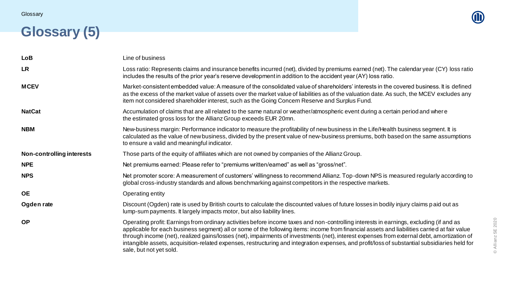

#### **Glossary (5)**

| <b>LoB</b>                | Line of business                                                                                                                                                                                                                                                                                                                                                                                                                                                                                                                                                                                                  |
|---------------------------|-------------------------------------------------------------------------------------------------------------------------------------------------------------------------------------------------------------------------------------------------------------------------------------------------------------------------------------------------------------------------------------------------------------------------------------------------------------------------------------------------------------------------------------------------------------------------------------------------------------------|
| <b>LR</b>                 | Loss ratio: Represents claims and insurance benefits incurred (net), divided by premiums earned (net). The calendar year (CY) loss ratio<br>includes the results of the prior year's reserve development in addition to the accident year (AY) loss ratio.                                                                                                                                                                                                                                                                                                                                                        |
| <b>MCEV</b>               | Market-consistent embedded value: A measure of the consolidated value of shareholders' interests in the covered business. It is defined<br>as the excess of the market value of assets over the market value of liabilities as of the valuation date. As such, the MCEV excludes any<br>item not considered shareholder interest, such as the Going Concern Reserve and Surplus Fund.                                                                                                                                                                                                                             |
| <b>NatCat</b>             | Accumulation of claims that are all related to the same natural or weather/atmospheric event during a certain period and where<br>the estimated gross loss for the Allianz Group exceeds EUR 20mn.                                                                                                                                                                                                                                                                                                                                                                                                                |
| <b>NBM</b>                | New-business margin: Performance indicator to measure the profitability of new business in the Life/Health business segment. It is<br>calculated as the value of new business, divided by the present value of new-business premiums, both based on the same assumptions<br>to ensure a valid and meaningful indicator.                                                                                                                                                                                                                                                                                           |
| Non-controlling interests | Those parts of the equity of affiliates which are not owned by companies of the Allianz Group.                                                                                                                                                                                                                                                                                                                                                                                                                                                                                                                    |
| <b>NPE</b>                | Net premiums earned: Please refer to "premiums written/earned" as well as "gross/net".                                                                                                                                                                                                                                                                                                                                                                                                                                                                                                                            |
| <b>NPS</b>                | Net promoter score: A measurement of customers' willingness to recommend Allianz. Top-down NPS is measured regularly according to<br>global cross-industry standards and allows benchmarking against competitors in the respective markets.                                                                                                                                                                                                                                                                                                                                                                       |
| <b>OE</b>                 | Operating entity                                                                                                                                                                                                                                                                                                                                                                                                                                                                                                                                                                                                  |
| Ogden rate                | Discount (Ogden) rate is used by British courts to calculate the discounted values of future losses in bodily injury claims paid out as<br>lump-sum payments. It largely impacts motor, but also liability lines.                                                                                                                                                                                                                                                                                                                                                                                                 |
| <b>OP</b>                 | Operating profit: Earnings from ordinary activities before income taxes and non-controlling interests in earnings, excluding (if and as<br>applicable for each business segment) all or some of the following items: income from financial assets and liabilities carried at fair value<br>through income (net), realized gains/losses (net), impairments of investments (net), interest expenses from external debt, amortization of<br>intangible assets, acquisition-related expenses, restructuring and integration expenses, and profit/loss of substantial subsidiaries held for<br>sale, but not yet sold. |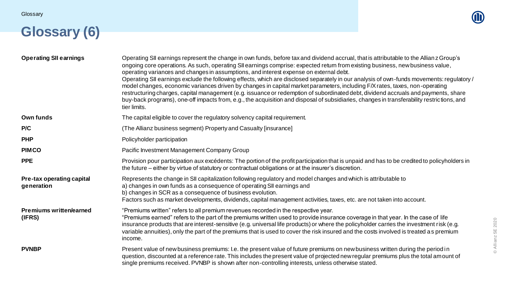## **Glossary (6)**

© Allianz SE 2020

© Allianz SE 2020

| <b>Operating SII earnings</b>            | Operating SII earnings represent the change in own funds, before tax and dividend accrual, that is attributable to the Allian z Group's<br>ongoing core operations. As such, operating SII earnings comprise: expected return from existing business, new business value,<br>operating variances and changes in assumptions, and interest expense on external debt.<br>Operating SII earnings exclude the following effects, which are disclosed separately in our analysis of own-funds movements: regulatory /<br>model changes, economic variances driven by changes in capital market parameters, including F/X rates, taxes, non-operating<br>restructuring charges, capital management (e.g. issuance or redemption of subordinated debt, dividend accruals and payments, share<br>buy-back programs), one-off impacts from, e.g., the acquisition and disposal of subsidiaries, changes in transferability restrictions, and<br>tier limits. |
|------------------------------------------|-----------------------------------------------------------------------------------------------------------------------------------------------------------------------------------------------------------------------------------------------------------------------------------------------------------------------------------------------------------------------------------------------------------------------------------------------------------------------------------------------------------------------------------------------------------------------------------------------------------------------------------------------------------------------------------------------------------------------------------------------------------------------------------------------------------------------------------------------------------------------------------------------------------------------------------------------------|
| Own funds                                | The capital eligible to cover the regulatory solvency capital requirement.                                                                                                                                                                                                                                                                                                                                                                                                                                                                                                                                                                                                                                                                                                                                                                                                                                                                          |
| P/C                                      | (The Allianz business segment) Property and Casualty [insurance]                                                                                                                                                                                                                                                                                                                                                                                                                                                                                                                                                                                                                                                                                                                                                                                                                                                                                    |
| <b>PHP</b>                               | Policyholder participation                                                                                                                                                                                                                                                                                                                                                                                                                                                                                                                                                                                                                                                                                                                                                                                                                                                                                                                          |
| <b>PIMCO</b>                             | Pacific Investment Management Company Group                                                                                                                                                                                                                                                                                                                                                                                                                                                                                                                                                                                                                                                                                                                                                                                                                                                                                                         |
| <b>PPE</b>                               | Provision pour participation aux excédents: The portion of the profit participation that is unpaid and has to be credited to policyholders in<br>the future – either by virtue of statutory or contractual obligations or at the insurer's discretion.                                                                                                                                                                                                                                                                                                                                                                                                                                                                                                                                                                                                                                                                                              |
| Pre-tax operating capital<br>generation  | Represents the change in SII capitalization following regulatory and model changes and which is attributable to<br>a) changes in own funds as a consequence of operating SII earnings and<br>b) changes in SCR as a consequence of business evolution.<br>Factors such as market developments, dividends, capital management activities, taxes, etc. are not taken into account.                                                                                                                                                                                                                                                                                                                                                                                                                                                                                                                                                                    |
| <b>Premiums written/earned</b><br>(IFRS) | "Premiums written" refers to all premium revenues recorded in the respective year.<br>"Premiums earned" refers to the part of the premiums written used to provide insurance coverage in that year. In the case of life<br>insurance products that are interest-sensitive (e.g. universal life products) or where the policyholder carries the investment risk (e.g.<br>variable annuities), only the part of the premiums that is used to cover the risk insured and the costs involved is treated as premium<br>income.                                                                                                                                                                                                                                                                                                                                                                                                                           |
| <b>PVNBP</b>                             | Present value of new business premiums: I.e. the present value of future premiums on new business written during the period in<br>question, discounted at a reference rate. This includes the present value of projected new regular premiums plus the total amount of<br>single premiums received. PVNBP is shown after non-controlling interests, unless otherwise stated.                                                                                                                                                                                                                                                                                                                                                                                                                                                                                                                                                                        |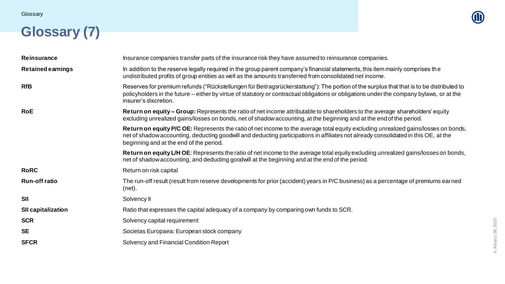### **Glossary (7)**

| <b>Reinsurance</b>        | Insurance companies transfer parts of the insurance risk they have assumed to reinsurance companies.                                                                                                                                                                                                                  |
|---------------------------|-----------------------------------------------------------------------------------------------------------------------------------------------------------------------------------------------------------------------------------------------------------------------------------------------------------------------|
| <b>Retained earnings</b>  | In addition to the reserve legally required in the group parent company's financial statements, this item mainly comprises the<br>undistributed profits of group entities as well as the amounts transferred from consolidated net income.                                                                            |
| <b>RfB</b>                | Reserves for premium refunds ("Rückstellungen für Beitragsrückerstattung"): The portion of the surplus that that is to be distributed to<br>policyholders in the future – either by virtue of statutory or contractual obligations or obligations under the company bylaws, or at the<br>insurer's discretion.        |
| <b>RoE</b>                | Return on equity – Group: Represents the ratio of net income attributable to shareholders to the average shareholders' equity<br>excluding unrealized gains/losses on bonds, net of shadow accounting, at the beginning and at the end of the period.                                                                 |
|                           | Return on equity P/C OE: Represents the ratio of net income to the average total equity excluding unrealized gains/losses on bonds,<br>net of shadow accounting, deducting goodwill and deducting participations in affiliates not already consolidated in this OE, at the<br>beginning and at the end of the period. |
|                           | Return on equity L/H OE: Represents the ratio of net income to the average total equity excluding unrealized gains/losses on bonds,<br>net of shadow accounting, and deducting goodwill at the beginning and at the end of the period.                                                                                |
| <b>RoRC</b>               | Return on risk capital                                                                                                                                                                                                                                                                                                |
| <b>Run-off ratio</b>      | The run-off result (result from reserve developments for prior (accident) years in P/C business) as a percentage of premiums earned<br>(net).                                                                                                                                                                         |
| <b>SII</b>                | Solvency II                                                                                                                                                                                                                                                                                                           |
| <b>SII capitalization</b> | Ratio that expresses the capital adequacy of a company by comparing own funds to SCR.                                                                                                                                                                                                                                 |
| <b>SCR</b>                | Solvency capital requirement                                                                                                                                                                                                                                                                                          |
| <b>SE</b>                 | Societas Europaea: European stock company                                                                                                                                                                                                                                                                             |
| <b>SFCR</b>               | Solvency and Financial Condition Report                                                                                                                                                                                                                                                                               |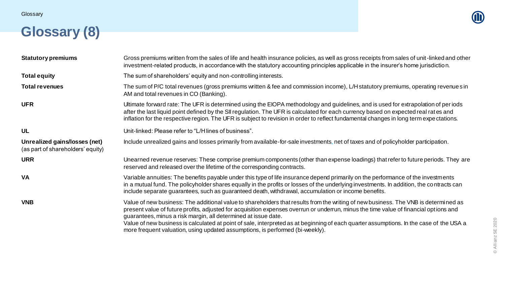#### **Glossary (8)**

| <b>Statutory premiums</b>                                          | Gross premiums written from the sales of life and health insurance policies, as well as gross receipts from sales of unit-linked and other<br>investment-related products, in accordance with the statutory accounting principles applicable in the insurer's home jurisdiction.                                                                                                                                                                                                                                                                                           |
|--------------------------------------------------------------------|----------------------------------------------------------------------------------------------------------------------------------------------------------------------------------------------------------------------------------------------------------------------------------------------------------------------------------------------------------------------------------------------------------------------------------------------------------------------------------------------------------------------------------------------------------------------------|
| <b>Total equity</b>                                                | The sum of shareholders' equity and non-controlling interests.                                                                                                                                                                                                                                                                                                                                                                                                                                                                                                             |
| <b>Total revenues</b>                                              | The sum of P/C total revenues (gross premiums written & fee and commission income), L/H statutory premiums, operating revenue sin<br>AM and total revenues in CO (Banking).                                                                                                                                                                                                                                                                                                                                                                                                |
| <b>UFR</b>                                                         | Ultimate forward rate: The UFR is determined using the EIOPA methodology and guidelines, and is used for extrapolation of per iods<br>after the last liquid point defined by the SII regulation. The UFR is calculated for each currency based on expected real rates and<br>inflation for the respective region. The UFR is subject to revision in order to reflect fundamental changes in long term expectations.                                                                                                                                                        |
| <b>UL</b>                                                          | Unit-linked: Please refer to "L/H lines of business".                                                                                                                                                                                                                                                                                                                                                                                                                                                                                                                      |
| Unrealized gains/losses (net)<br>(as part of shareholders' equity) | Include unrealized gains and losses primarily from available-for-sale investments, net of taxes and of policyholder participation.                                                                                                                                                                                                                                                                                                                                                                                                                                         |
| <b>URR</b>                                                         | Unearned revenue reserves: These comprise premium components (other than expense loadings) that refer to future periods. They are<br>reserved and released over the lifetime of the corresponding contracts.                                                                                                                                                                                                                                                                                                                                                               |
| <b>VA</b>                                                          | Variable annuities: The benefits payable under this type of life insurance depend primarily on the performance of the investments<br>in a mutual fund. The policyholder shares equally in the profits or losses of the underlying investments. In addition, the contracts can<br>include separate guarantees, such as guaranteed death, withdrawal, accumulation or income benefits.                                                                                                                                                                                       |
| <b>VNB</b>                                                         | Value of new business: The additional value to shareholders that results from the writing of new business. The VNB is determined as<br>present value of future profits, adjusted for acquisition expenses overrun or underrun, minus the time value of financial options and<br>guarantees, minus a risk margin, all determined at issue date.<br>Value of new business is calculated at point of sale, interpreted as at beginning of each quarter assumptions. In the case of the USA a<br>more frequent valuation, using updated assumptions, is performed (bi-weekly). |